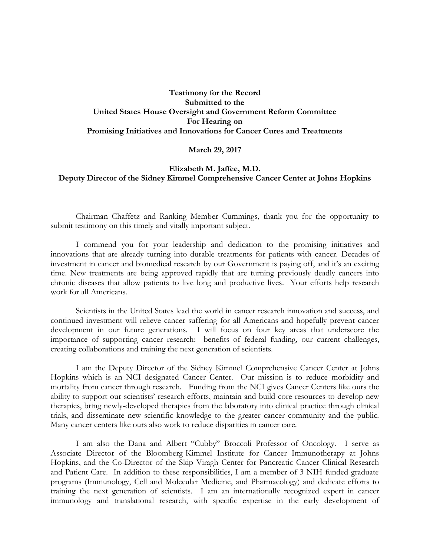## **Testimony for the Record Submitted to the United States House Oversight and Government Reform Committee For Hearing on Promising Initiatives and Innovations for Cancer Cures and Treatments**

### **March 29, 2017**

## **Elizabeth M. Jaffee, M.D. Deputy Director of the Sidney Kimmel Comprehensive Cancer Center at Johns Hopkins**

Chairman Chaffetz and Ranking Member Cummings, thank you for the opportunity to submit testimony on this timely and vitally important subject.

I commend you for your leadership and dedication to the promising initiatives and innovations that are already turning into durable treatments for patients with cancer. Decades of investment in cancer and biomedical research by our Government is paying off, and it's an exciting time. New treatments are being approved rapidly that are turning previously deadly cancers into chronic diseases that allow patients to live long and productive lives. Your efforts help research work for all Americans.

Scientists in the United States lead the world in cancer research innovation and success, and continued investment will relieve cancer suffering for all Americans and hopefully prevent cancer development in our future generations. I will focus on four key areas that underscore the importance of supporting cancer research: benefits of federal funding, our current challenges, creating collaborations and training the next generation of scientists.

I am the Deputy Director of the Sidney Kimmel Comprehensive Cancer Center at Johns Hopkins which is an NCI designated Cancer Center. Our mission is to reduce morbidity and mortality from cancer through research. Funding from the NCI gives Cancer Centers like ours the ability to support our scientists' research efforts, maintain and build core resources to develop new therapies, bring newly-developed therapies from the laboratory into clinical practice through clinical trials, and disseminate new scientific knowledge to the greater cancer community and the public. Many cancer centers like ours also work to reduce disparities in cancer care.

I am also the Dana and Albert "Cubby" Broccoli Professor of Oncology. I serve as Associate Director of the Bloomberg-Kimmel Institute for Cancer Immunotherapy at Johns Hopkins, and the Co-Director of the Skip Viragh Center for Pancreatic Cancer Clinical Research and Patient Care. In addition to these responsibilities, I am a member of 3 NIH funded graduate programs (Immunology, Cell and Molecular Medicine, and Pharmacology) and dedicate efforts to training the next generation of scientists. I am an internationally recognized expert in cancer immunology and translational research, with specific expertise in the early development of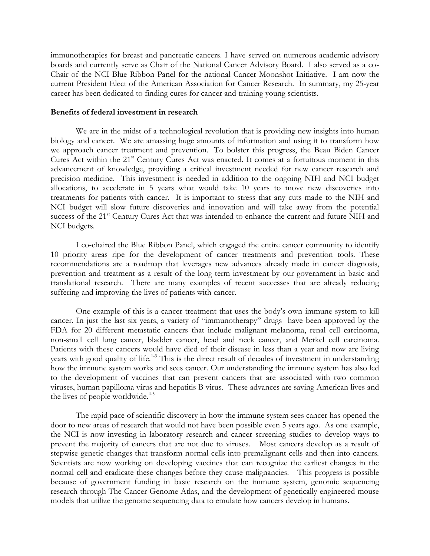immunotherapies for breast and pancreatic cancers. I have served on numerous academic advisory boards and currently serve as Chair of the National Cancer Advisory Board. I also served as a co-Chair of the NCI Blue Ribbon Panel for the national Cancer Moonshot Initiative. I am now the current President Elect of the American Association for Cancer Research. In summary, my 25-year career has been dedicated to finding cures for cancer and training young scientists.

### **Benefits of federal investment in research**

We are in the midst of a technological revolution that is providing new insights into human biology and cancer. We are amassing huge amounts of information and using it to transform how we approach cancer treatment and prevention. To bolster this progress, the Beau Biden Cancer Cures Act within the 21<sup>st</sup> Century Cures Act was enacted. It comes at a fortuitous moment in this advancement of knowledge, providing a critical investment needed for new cancer research and precision medicine. This investment is needed in addition to the ongoing NIH and NCI budget allocations, to accelerate in 5 years what would take 10 years to move new discoveries into treatments for patients with cancer. It is important to stress that any cuts made to the NIH and NCI budget will slow future discoveries and innovation and will take away from the potential success of the 21<sup>st</sup> Century Cures Act that was intended to enhance the current and future NIH and NCI budgets.

I co-chaired the Blue Ribbon Panel, which engaged the entire cancer community to identify 10 priority areas ripe for the development of cancer treatments and prevention tools. These recommendations are a roadmap that leverages new advances already made in cancer diagnosis, prevention and treatment as a result of the long-term investment by our government in basic and translational research. There are many examples of recent successes that are already reducing suffering and improving the lives of patients with cancer.

One example of this is a cancer treatment that uses the body's own immune system to kill cancer. In just the last six years, a variety of "immunotherapy" drugs have been approved by the FDA for 20 different metastatic cancers that include malignant melanoma, renal cell carcinoma, non-small cell lung cancer, bladder cancer, head and neck cancer, and Merkel cell carcinoma. Patients with these cancers would have died of their disease in less than a year and now are living years with good quality of life.<sup>1-3</sup> This is the direct result of decades of investment in understanding how the immune system works and sees cancer. Our understanding the immune system has also led to the development of vaccines that can prevent cancers that are associated with two common viruses, human papilloma virus and hepatitis B virus. These advances are saving American lives and the lives of people worldwide. $45$ 

The rapid pace of scientific discovery in how the immune system sees cancer has opened the door to new areas of research that would not have been possible even 5 years ago. As one example, the NCI is now investing in laboratory research and cancer screening studies to develop ways to prevent the majority of cancers that are not due to viruses. Most cancers develop as a result of stepwise genetic changes that transform normal cells into premalignant cells and then into cancers. Scientists are now working on developing vaccines that can recognize the earliest changes in the normal cell and eradicate these changes before they cause malignancies. This progress is possible because of government funding in basic research on the immune system, genomic sequencing research through The Cancer Genome Atlas, and the development of genetically engineered mouse models that utilize the genome sequencing data to emulate how cancers develop in humans.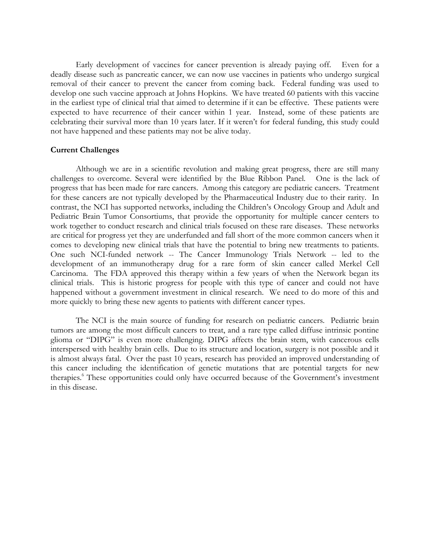Early development of vaccines for cancer prevention is already paying off. Even for a deadly disease such as pancreatic cancer, we can now use vaccines in patients who undergo surgical removal of their cancer to prevent the cancer from coming back. Federal funding was used to develop one such vaccine approach at Johns Hopkins. We have treated 60 patients with this vaccine in the earliest type of clinical trial that aimed to determine if it can be effective. These patients were expected to have recurrence of their cancer within 1 year. Instead, some of these patients are celebrating their survival more than 10 years later. If it weren't for federal funding, this study could not have happened and these patients may not be alive today.

#### **Current Challenges**

Although we are in a scientific revolution and making great progress, there are still many challenges to overcome. Several were identified by the Blue Ribbon Panel. One is the lack of progress that has been made for rare cancers. Among this category are pediatric cancers. Treatment for these cancers are not typically developed by the Pharmaceutical Industry due to their rarity. In contrast, the NCI has supported networks, including the Children's Oncology Group and Adult and Pediatric Brain Tumor Consortiums, that provide the opportunity for multiple cancer centers to work together to conduct research and clinical trials focused on these rare diseases. These networks are critical for progress yet they are underfunded and fall short of the more common cancers when it comes to developing new clinical trials that have the potential to bring new treatments to patients. One such NCI-funded network -- The Cancer Immunology Trials Network -- led to the development of an immunotherapy drug for a rare form of skin cancer called Merkel Cell Carcinoma. The FDA approved this therapy within a few years of when the Network began its clinical trials. This is historic progress for people with this type of cancer and could not have happened without a government investment in clinical research. We need to do more of this and more quickly to bring these new agents to patients with different cancer types.

The NCI is the main source of funding for research on pediatric cancers. Pediatric brain tumors are among the most difficult cancers to treat, and a rare type called diffuse intrinsic pontine glioma or "DIPG" is even more challenging. DIPG affects the brain stem, with cancerous cells interspersed with healthy brain cells. Due to its structure and location, surgery is not possible and it is almost always fatal. Over the past 10 years, research has provided an improved understanding of this cancer including the identification of genetic mutations that are potential targets for new therapies.<sup>6</sup> These opportunities could only have occurred because of the Government's investment in this disease.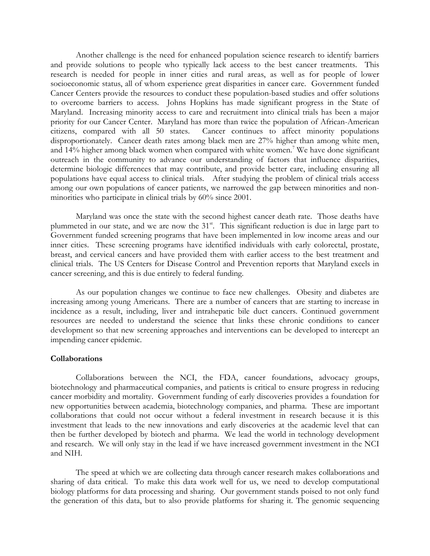Another challenge is the need for enhanced population science research to identify barriers and provide solutions to people who typically lack access to the best cancer treatments. This research is needed for people in inner cities and rural areas, as well as for people of lower socioeconomic status, all of whom experience great disparities in cancer care. Government funded Cancer Centers provide the resources to conduct these population-based studies and offer solutions to overcome barriers to access. Johns Hopkins has made significant progress in the State of Maryland. Increasing minority access to care and recruitment into clinical trials has been a major priority for our Cancer Center. Maryland has more than twice the population of African-American citizens, compared with all 50 states. Cancer continues to affect minority populations disproportionately. Cancer death rates among black men are 27% higher than among white men, and 14% higher among black women when compared with white women.<sup>7</sup> We have done significant outreach in the community to advance our understanding of factors that influence disparities, determine biologic differences that may contribute, and provide better care, including ensuring all populations have equal access to clinical trials. After studying the problem of clinical trials access among our own populations of cancer patients, we narrowed the gap between minorities and nonminorities who participate in clinical trials by 60% since 2001.

Maryland was once the state with the second highest cancer death rate. Those deaths have plummeted in our state, and we are now the 31<sup>st</sup>. This significant reduction is due in large part to Government funded screening programs that have been implemented in low income areas and our inner cities. These screening programs have identified individuals with early colorectal, prostate, breast, and cervical cancers and have provided them with earlier access to the best treatment and clinical trials. The US Centers for Disease Control and Prevention reports that Maryland excels in cancer screening, and this is due entirely to federal funding.

As our population changes we continue to face new challenges. Obesity and diabetes are increasing among young Americans. There are a number of cancers that are starting to increase in incidence as a result, including, liver and intrahepatic bile duct cancers. Continued government resources are needed to understand the science that links these chronic conditions to cancer development so that new screening approaches and interventions can be developed to intercept an impending cancer epidemic.

### **Collaborations**

Collaborations between the NCI, the FDA, cancer foundations, advocacy groups, biotechnology and pharmaceutical companies, and patients is critical to ensure progress in reducing cancer morbidity and mortality. Government funding of early discoveries provides a foundation for new opportunities between academia, biotechnology companies, and pharma. These are important collaborations that could not occur without a federal investment in research because it is this investment that leads to the new innovations and early discoveries at the academic level that can then be further developed by biotech and pharma. We lead the world in technology development and research. We will only stay in the lead if we have increased government investment in the NCI and NIH.

The speed at which we are collecting data through cancer research makes collaborations and sharing of data critical. To make this data work well for us, we need to develop computational biology platforms for data processing and sharing. Our government stands poised to not only fund the generation of this data, but to also provide platforms for sharing it. The genomic sequencing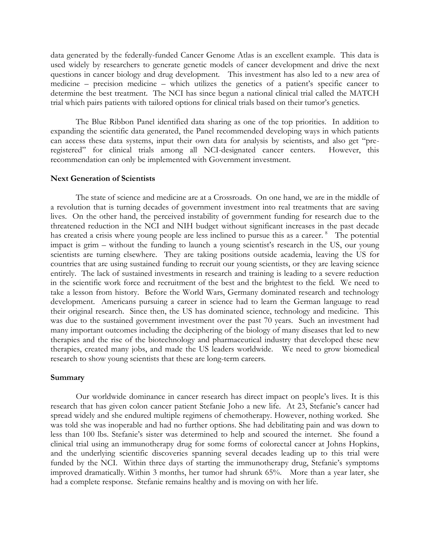data generated by the federally-funded Cancer Genome Atlas is an excellent example. This data is used widely by researchers to generate genetic models of cancer development and drive the next questions in cancer biology and drug development. This investment has also led to a new area of medicine – precision medicine – which utilizes the genetics of a patient's specific cancer to determine the best treatment. The NCI has since begun a national clinical trial called the MATCH trial which pairs patients with tailored options for clinical trials based on their tumor's genetics.

The Blue Ribbon Panel identified data sharing as one of the top priorities. In addition to expanding the scientific data generated, the Panel recommended developing ways in which patients can access these data systems, input their own data for analysis by scientists, and also get "preregistered" for clinical trials among all NCI-designated cancer centers. However, this recommendation can only be implemented with Government investment.

#### **Next Generation of Scientists**

The state of science and medicine are at a Crossroads. On one hand, we are in the middle of a revolution that is turning decades of government investment into real treatments that are saving lives. On the other hand, the perceived instability of government funding for research due to the threatened reduction in the NCI and NIH budget without significant increases in the past decade has created a crisis where young people are less inclined to pursue this as a career.<sup>8</sup> The potential impact is grim – without the funding to launch a young scientist's research in the US, our young scientists are turning elsewhere. They are taking positions outside academia, leaving the US for countries that are using sustained funding to recruit our young scientists, or they are leaving science entirely. The lack of sustained investments in research and training is leading to a severe reduction in the scientific work force and recruitment of the best and the brightest to the field. We need to take a lesson from history. Before the World Wars, Germany dominated research and technology development. Americans pursuing a career in science had to learn the German language to read their original research. Since then, the US has dominated science, technology and medicine. This was due to the sustained government investment over the past 70 years. Such an investment had many important outcomes including the deciphering of the biology of many diseases that led to new therapies and the rise of the biotechnology and pharmaceutical industry that developed these new therapies, created many jobs, and made the US leaders worldwide. We need to grow biomedical research to show young scientists that these are long-term careers.

#### **Summary**

Our worldwide dominance in cancer research has direct impact on people's lives. It is this research that has given colon cancer patient Stefanie Joho a new life. At 23, Stefanie's cancer had spread widely and she endured multiple regimens of chemotherapy. However, nothing worked. She was told she was inoperable and had no further options. She had debilitating pain and was down to less than 100 lbs. Stefanie's sister was determined to help and scoured the internet. She found a clinical trial using an immunotherapy drug for some forms of colorectal cancer at Johns Hopkins, and the underlying scientific discoveries spanning several decades leading up to this trial were funded by the NCI. Within three days of starting the immunotherapy drug, Stefanie's symptoms improved dramatically*.* Within 3 months, her tumor had shrunk 65%. More than a year later, she had a complete response. Stefanie remains healthy and is moving on with her life.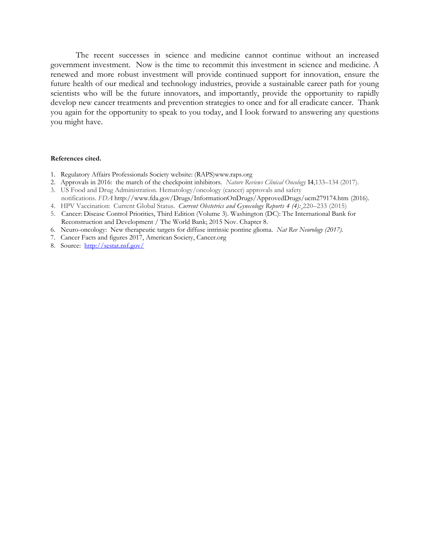The recent successes in science and medicine cannot continue without an increased government investment. Now is the time to recommit this investment in science and medicine. A renewed and more robust investment will provide continued support for innovation, ensure the future health of our medical and technology industries, provide a sustainable career path for young scientists who will be the future innovators, and importantly, provide the opportunity to rapidly develop new cancer treatments and prevention strategies to once and for all eradicate cancer. Thank you again for the opportunity to speak to you today, and I look forward to answering any questions you might have.

#### **References cited.**

- 1. Regulatory Affairs Professionals Society website: (RAPS)www.raps.org
- 2. Approvals in 2016: the march of the checkpoint inhibitors. *Nature Reviews Clinical Oncology* **14**,133–134 (2017).
- 3. US Food and Drug Administration. Hematology/oncology (cancer) approvals and safety notifications. *FDA* <http://www.fda.gov/Drugs/InformationOnDrugs/ApprovedDrugs/ucm279174.htm> (2016).
- 4. HPV Vaccination: Current Global Status*. [Current Obstetrics and Gynecology Reports](https://link.springer.com/journal/13669) 4 (4):* 220–233 (2015)
- 5. Cancer: Disease Control Priorities, Third Edition (Volume 3). Washington (DC): The International Bank for Reconstruction and Development / The World Bank; 2015 Nov. Chapter 8.
- 6. Neuro-oncology: New therapeutic targets for diffuse intrinsic pontine glioma. *Nat Rev Neurology (2017).*
- 7. Cancer Facts and figures 2017, American Society, Cancer.org
- 8. Source: <http://sestat.nsf.gov/>